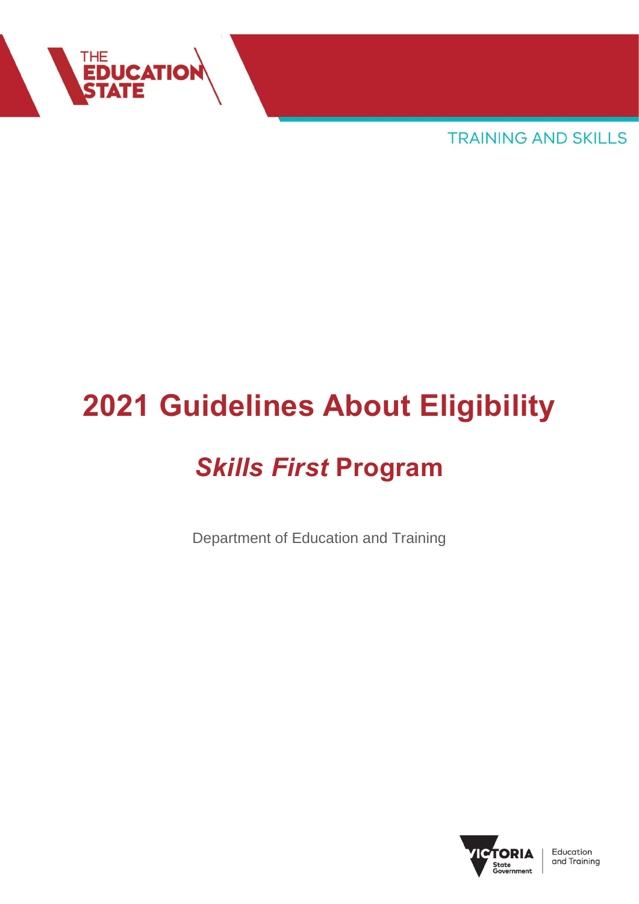

**TRAINING AND SKILLS** 

# **2021 Guidelines About Eligibility**

## *Skills First* **Program**

Department of Education and Training

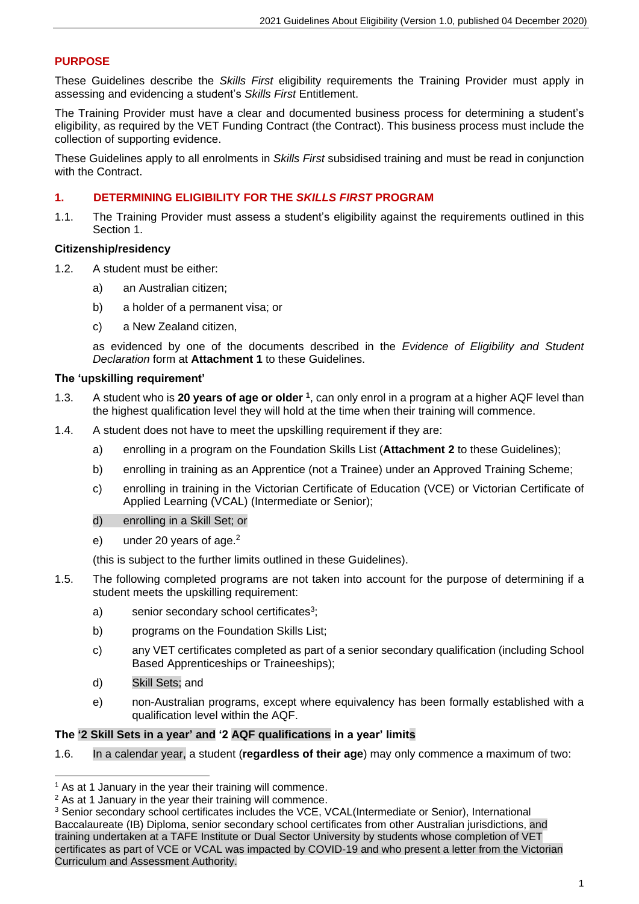#### **PURPOSE**

These Guidelines describe the *Skills First* eligibility requirements the Training Provider must apply in assessing and evidencing a student's *Skills First* Entitlement.

The Training Provider must have a clear and documented business process for determining a student's eligibility, as required by the VET Funding Contract (the Contract). This business process must include the collection of supporting evidence.

These Guidelines apply to all enrolments in *Skills First* subsidised training and must be read in conjunction with the Contract.

#### **1. DETERMINING ELIGIBILITY FOR THE** *SKILLS FIRST* **PROGRAM**

1.1. The Training Provider must assess a student's eligibility against the requirements outlined in this Section 1.

#### **Citizenship/residency**

- 1.2. A student must be either:
	- a) an Australian citizen;
	- b) a holder of a permanent visa; or
	- c) a New Zealand citizen,

as evidenced by one of the documents described in the *Evidence of Eligibility and Student Declaration* form at **Attachment 1** to these Guidelines.

#### **The 'upskilling requirement'**

- 1.3. A student who is **20 years of age or older <sup>1</sup>** , can only enrol in a program at a higher AQF level than the highest qualification level they will hold at the time when their training will commence.
- 1.4. A student does not have to meet the upskilling requirement if they are:
	- a) enrolling in a program on the Foundation Skills List (**Attachment 2** to these Guidelines);
	- b) enrolling in training as an Apprentice (not a Trainee) under an Approved Training Scheme;
	- c) enrolling in training in the Victorian Certificate of Education (VCE) or Victorian Certificate of Applied Learning (VCAL) (Intermediate or Senior);
	- d) enrolling in a Skill Set; or
	- e) under 20 years of age.<sup>2</sup>

(this is subject to the further limits outlined in these Guidelines).

- 1.5. The following completed programs are not taken into account for the purpose of determining if a student meets the upskilling requirement:
	- a) senior secondary school certificates<sup>3</sup>;
	- b) programs on the Foundation Skills List;
	- c) any VET certificates completed as part of a senior secondary qualification (including School Based Apprenticeships or Traineeships);
	- d) Skill Sets; and
	- e) non-Australian programs, except where equivalency has been formally established with a qualification level within the AQF.

#### **The '2 Skill Sets in a year' and '2 AQF qualifications in a year' limits**

1.6. In a calendar year, a student (**regardless of their age**) may only commence a maximum of two:

 $<sup>1</sup>$  As at 1 January in the year their training will commence.</sup>

<sup>&</sup>lt;sup>2</sup> As at 1 January in the year their training will commence.

<sup>&</sup>lt;sup>3</sup> Senior secondary school certificates includes the VCE, VCAL(Intermediate or Senior), International Baccalaureate (IB) Diploma, senior secondary school certificates from other Australian jurisdictions, and training undertaken at a TAFE Institute or Dual Sector University by students whose completion of VET certificates as part of VCE or VCAL was impacted by COVID-19 and who present a letter from the Victorian Curriculum and Assessment Authority.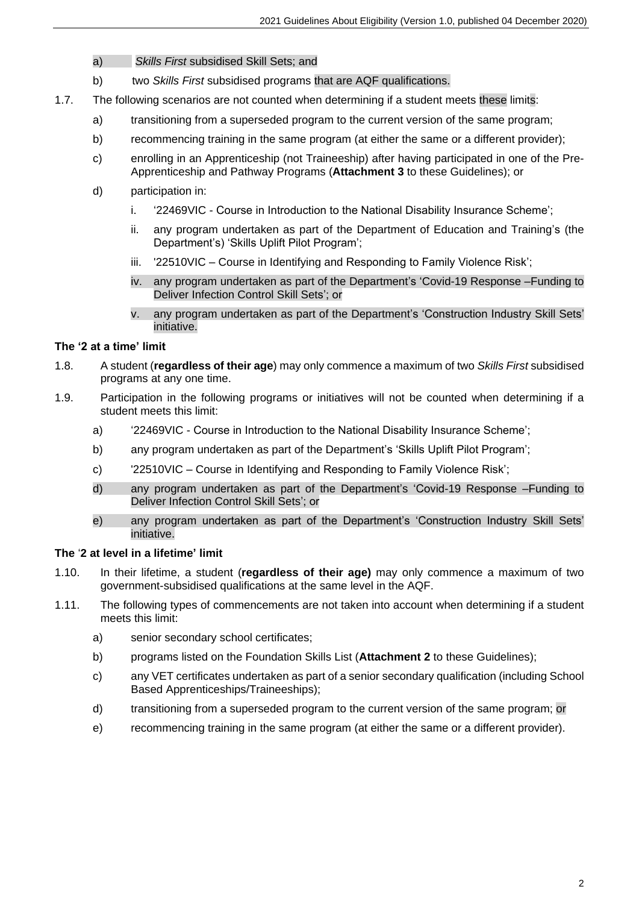- a) *Skills First* subsidised Skill Sets; and
- b) two *Skills First* subsidised programs that are AQF qualifications.
- 1.7. The following scenarios are not counted when determining if a student meets these limits:
	- a) transitioning from a superseded program to the current version of the same program;
	- b) recommencing training in the same program (at either the same or a different provider);
	- c) enrolling in an Apprenticeship (not Traineeship) after having participated in one of the Pre-Apprenticeship and Pathway Programs (**Attachment 3** to these Guidelines); or
	- d) participation in:
		- i. '22469VIC Course in Introduction to the National Disability Insurance Scheme';
		- ii. any program undertaken as part of the Department of Education and Training's (the Department's) 'Skills Uplift Pilot Program';
		- iii. '22510VIC Course in Identifying and Responding to Family Violence Risk';
		- iv. any program undertaken as part of the Department's 'Covid-19 Response –Funding to Deliver Infection Control Skill Sets'; or
		- v. any program undertaken as part of the Department's 'Construction Industry Skill Sets' initiative.

#### **The '2 at a time' limit**

- 1.8. A student (**regardless of their age**) may only commence a maximum of two *Skills First* subsidised programs at any one time.
- 1.9. Participation in the following programs or initiatives will not be counted when determining if a student meets this limit:
	- a) '22469VIC Course in Introduction to the National Disability Insurance Scheme';
	- b) any program undertaken as part of the Department's 'Skills Uplift Pilot Program';
	- c) '22510VIC Course in Identifying and Responding to Family Violence Risk';
	- d) any program undertaken as part of the Department's 'Covid-19 Response –Funding to Deliver Infection Control Skill Sets'; or
	- e) any program undertaken as part of the Department's 'Construction Industry Skill Sets' initiative.

#### **The** '**2 at level in a lifetime' limit**

- 1.10. In their lifetime, a student (**regardless of their age)** may only commence a maximum of two government-subsidised qualifications at the same level in the AQF.
- 1.11. The following types of commencements are not taken into account when determining if a student meets this limit:
	- a) senior secondary school certificates;
	- b) programs listed on the Foundation Skills List (**Attachment 2** to these Guidelines);
	- c) any VET certificates undertaken as part of a senior secondary qualification (including School Based Apprenticeships/Traineeships);
	- d) transitioning from a superseded program to the current version of the same program; or
	- e) recommencing training in the same program (at either the same or a different provider).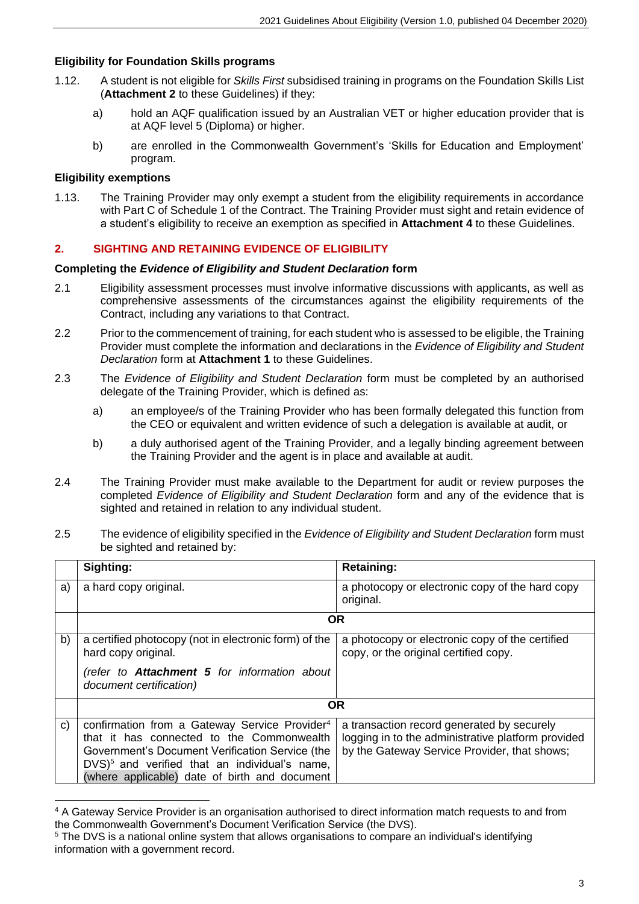#### **Eligibility for Foundation Skills programs**

- 1.12. A student is not eligible for *Skills First* subsidised training in programs on the Foundation Skills List (**Attachment 2** to these Guidelines) if they:
	- a) hold an AQF qualification issued by an Australian VET or higher education provider that is at AQF level 5 (Diploma) or higher.
	- b) are enrolled in the Commonwealth Government's 'Skills for Education and Employment' program.

#### **Eligibility exemptions**

1.13. The Training Provider may only exempt a student from the eligibility requirements in accordance with Part C of Schedule 1 of the Contract. The Training Provider must sight and retain evidence of a student's eligibility to receive an exemption as specified in **Attachment 4** to these Guidelines.

#### **2. SIGHTING AND RETAINING EVIDENCE OF ELIGIBILITY**

#### **Completing the** *Evidence of Eligibility and Student Declaration* **form**

- 2.1 Eligibility assessment processes must involve informative discussions with applicants, as well as comprehensive assessments of the circumstances against the eligibility requirements of the Contract, including any variations to that Contract.
- 2.2 Prior to the commencement of training, for each student who is assessed to be eligible, the Training Provider must complete the information and declarations in the *Evidence of Eligibility and Student Declaration* form at **Attachment 1** to these Guidelines.
- 2.3 The *Evidence of Eligibility and Student Declaration* form must be completed by an authorised delegate of the Training Provider, which is defined as:
	- a) an employee/s of the Training Provider who has been formally delegated this function from the CEO or equivalent and written evidence of such a delegation is available at audit, or
	- b) a duly authorised agent of the Training Provider, and a legally binding agreement between the Training Provider and the agent is in place and available at audit.
- 2.4 The Training Provider must make available to the Department for audit or review purposes the completed *Evidence of Eligibility and Student Declaration* form and any of the evidence that is sighted and retained in relation to any individual student.
- 2.5 The evidence of eligibility specified in the *Evidence of Eligibility and Student Declaration* form must be sighted and retained by:

|              | Sighting:                                                                                                                                                                                                                                                                | <b>Retaining:</b>                                                                                                                                |
|--------------|--------------------------------------------------------------------------------------------------------------------------------------------------------------------------------------------------------------------------------------------------------------------------|--------------------------------------------------------------------------------------------------------------------------------------------------|
| a)           | a hard copy original.                                                                                                                                                                                                                                                    | a photocopy or electronic copy of the hard copy<br>original.                                                                                     |
|              |                                                                                                                                                                                                                                                                          | <b>OR</b>                                                                                                                                        |
| b)           | a certified photocopy (not in electronic form) of the<br>hard copy original.                                                                                                                                                                                             | a photocopy or electronic copy of the certified<br>copy, or the original certified copy.                                                         |
|              | (refer to <b>Attachment 5</b> for information about<br>document certification)                                                                                                                                                                                           |                                                                                                                                                  |
|              |                                                                                                                                                                                                                                                                          | <b>OR</b>                                                                                                                                        |
| $\mathbf{C}$ | confirmation from a Gateway Service Provider <sup>4</sup><br>that it has connected to the Commonwealth<br>Government's Document Verification Service (the<br>$DVS$ <sup>5</sup> and verified that an individual's name,<br>(where applicable) date of birth and document | a transaction record generated by securely<br>logging in to the administrative platform provided<br>by the Gateway Service Provider, that shows; |

<sup>4</sup> A Gateway Service Provider is an organisation authorised to direct information match requests to and from the Commonwealth Government's Document Verification Service (the DVS).

<sup>&</sup>lt;sup>5</sup> The DVS is a national online system that allows organisations to compare an individual's identifying information with a government record.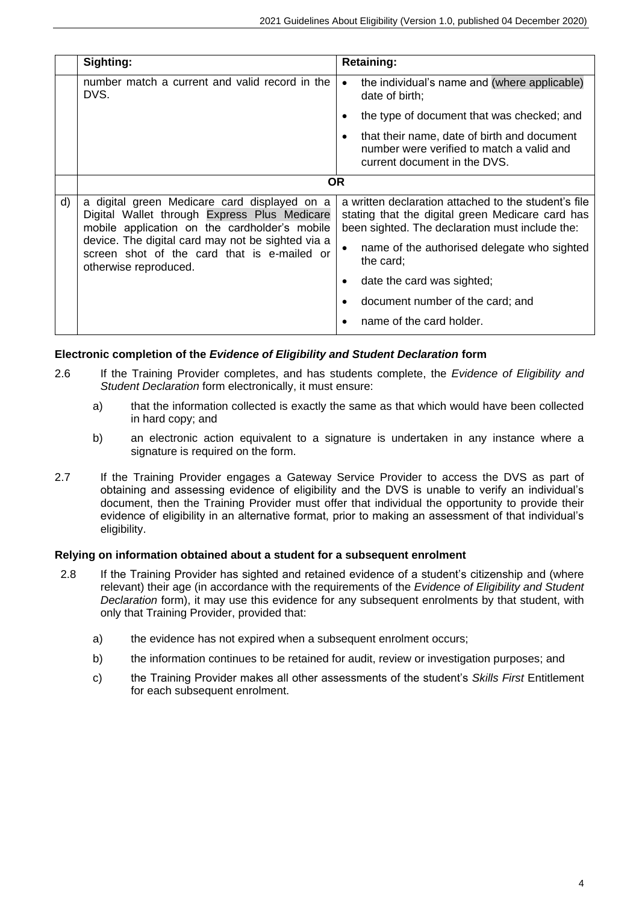|    | Sighting:                                                                                                                                     | <b>Retaining:</b>                                                                                                                                           |
|----|-----------------------------------------------------------------------------------------------------------------------------------------------|-------------------------------------------------------------------------------------------------------------------------------------------------------------|
|    | number match a current and valid record in the<br>DVS.                                                                                        | the individual's name and (where applicable)<br>$\bullet$<br>date of birth;                                                                                 |
|    |                                                                                                                                               | the type of document that was checked; and                                                                                                                  |
|    |                                                                                                                                               | that their name, date of birth and document<br>٠<br>number were verified to match a valid and<br>current document in the DVS.                               |
|    |                                                                                                                                               | <b>OR</b>                                                                                                                                                   |
| d) | a digital green Medicare card displayed on a<br>Digital Wallet through Express Plus Medicare<br>mobile application on the cardholder's mobile | a written declaration attached to the student's file<br>stating that the digital green Medicare card has<br>been sighted. The declaration must include the: |
|    | device. The digital card may not be sighted via a<br>screen shot of the card that is e-mailed or<br>otherwise reproduced.                     | name of the authorised delegate who sighted<br>the card;                                                                                                    |
|    |                                                                                                                                               | date the card was sighted;                                                                                                                                  |
|    |                                                                                                                                               | document number of the card; and                                                                                                                            |
|    |                                                                                                                                               | name of the card holder.                                                                                                                                    |

#### **Electronic completion of the** *Evidence of Eligibility and Student Declaration* **form**

- 2.6 If the Training Provider completes, and has students complete, the *Evidence of Eligibility and Student Declaration* form electronically, it must ensure:
	- a) that the information collected is exactly the same as that which would have been collected in hard copy; and
	- b) an electronic action equivalent to a signature is undertaken in any instance where a signature is required on the form.
- 2.7 If the Training Provider engages a Gateway Service Provider to access the DVS as part of obtaining and assessing evidence of eligibility and the DVS is unable to verify an individual's document, then the Training Provider must offer that individual the opportunity to provide their evidence of eligibility in an alternative format, prior to making an assessment of that individual's eligibility.

#### **Relying on information obtained about a student for a subsequent enrolment**

- 2.8 If the Training Provider has sighted and retained evidence of a student's citizenship and (where relevant) their age (in accordance with the requirements of the *Evidence of Eligibility and Student Declaration* form), it may use this evidence for any subsequent enrolments by that student, with only that Training Provider, provided that:
	- a) the evidence has not expired when a subsequent enrolment occurs;
	- b) the information continues to be retained for audit, review or investigation purposes; and
	- c) the Training Provider makes all other assessments of the student's *Skills First* Entitlement for each subsequent enrolment.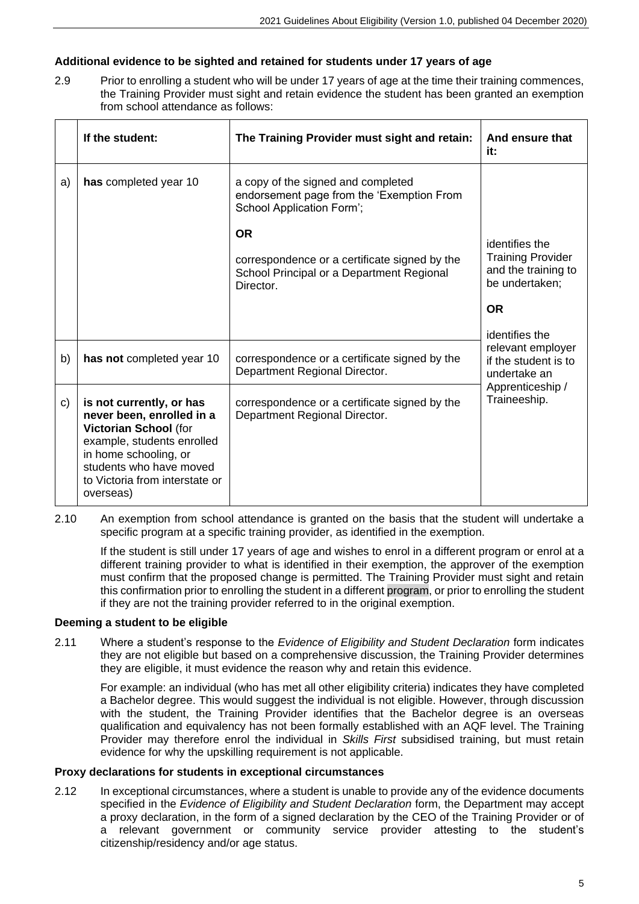#### **Additional evidence to be sighted and retained for students under 17 years of age**

2.9 Prior to enrolling a student who will be under 17 years of age at the time their training commences, the Training Provider must sight and retain evidence the student has been granted an exemption from school attendance as follows:

|    | If the student:                                                                                                                                                                                                 | The Training Provider must sight and retain:                                                                                                                                                                                         | And ensure that<br>it:                                                              |  |
|----|-----------------------------------------------------------------------------------------------------------------------------------------------------------------------------------------------------------------|--------------------------------------------------------------------------------------------------------------------------------------------------------------------------------------------------------------------------------------|-------------------------------------------------------------------------------------|--|
| a) | has completed year 10                                                                                                                                                                                           | a copy of the signed and completed<br>endorsement page from the 'Exemption From<br>School Application Form';<br><b>OR</b><br>correspondence or a certificate signed by the<br>School Principal or a Department Regional<br>Director. | identifies the<br><b>Training Provider</b><br>and the training to<br>be undertaken; |  |
|    |                                                                                                                                                                                                                 |                                                                                                                                                                                                                                      | <b>OR</b>                                                                           |  |
| b) | has not completed year 10                                                                                                                                                                                       | correspondence or a certificate signed by the<br>Department Regional Director.                                                                                                                                                       | identifies the<br>relevant employer<br>if the student is to<br>undertake an         |  |
| C) | is not currently, or has<br>never been, enrolled in a<br>Victorian School (for<br>example, students enrolled<br>in home schooling, or<br>students who have moved<br>to Victoria from interstate or<br>overseas) | correspondence or a certificate signed by the<br>Department Regional Director.                                                                                                                                                       | Apprenticeship /<br>Traineeship.                                                    |  |

2.10 An exemption from school attendance is granted on the basis that the student will undertake a specific program at a specific training provider, as identified in the exemption.

If the student is still under 17 years of age and wishes to enrol in a different program or enrol at a different training provider to what is identified in their exemption, the approver of the exemption must confirm that the proposed change is permitted. The Training Provider must sight and retain this confirmation prior to enrolling the student in a different program, or prior to enrolling the student if they are not the training provider referred to in the original exemption.

#### **Deeming a student to be eligible**

2.11 Where a student's response to the *Evidence of Eligibility and Student Declaration* form indicates they are not eligible but based on a comprehensive discussion, the Training Provider determines they are eligible, it must evidence the reason why and retain this evidence.

For example: an individual (who has met all other eligibility criteria) indicates they have completed a Bachelor degree. This would suggest the individual is not eligible. However, through discussion with the student, the Training Provider identifies that the Bachelor degree is an overseas qualification and equivalency has not been formally established with an AQF level. The Training Provider may therefore enrol the individual in *Skills First* subsidised training, but must retain evidence for why the upskilling requirement is not applicable.

#### **Proxy declarations for students in exceptional circumstances**

2.12 In exceptional circumstances, where a student is unable to provide any of the evidence documents specified in the *Evidence of Eligibility and Student Declaration* form, the Department may accept a proxy declaration, in the form of a signed declaration by the CEO of the Training Provider or of a relevant government or community service provider attesting to the student's citizenship/residency and/or age status.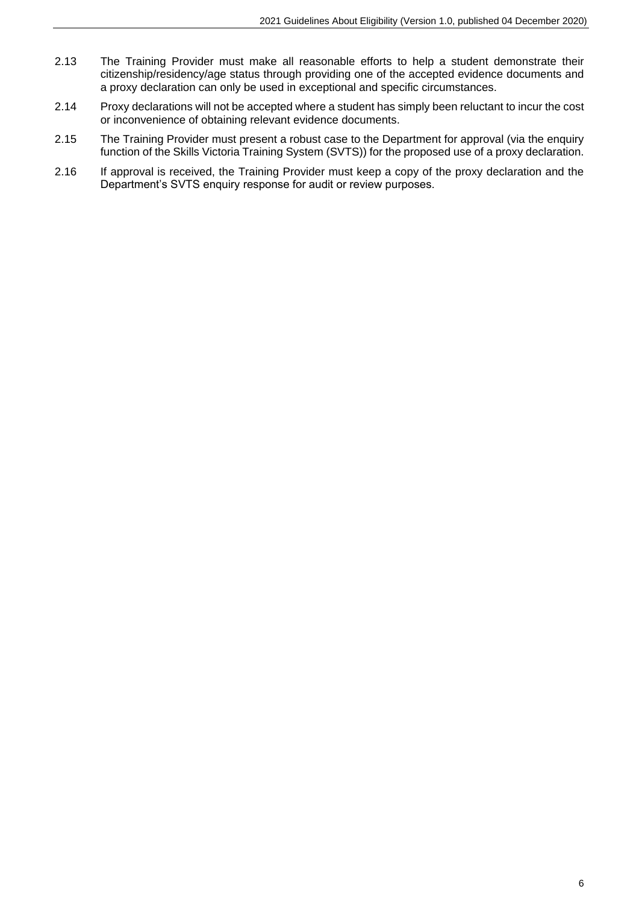- 2.13 The Training Provider must make all reasonable efforts to help a student demonstrate their citizenship/residency/age status through providing one of the accepted evidence documents and a proxy declaration can only be used in exceptional and specific circumstances.
- 2.14 Proxy declarations will not be accepted where a student has simply been reluctant to incur the cost or inconvenience of obtaining relevant evidence documents.
- 2.15 The Training Provider must present a robust case to the Department for approval (via the enquiry function of the Skills Victoria Training System (SVTS)) for the proposed use of a proxy declaration.
- 2.16 If approval is received, the Training Provider must keep a copy of the proxy declaration and the Department's SVTS enquiry response for audit or review purposes.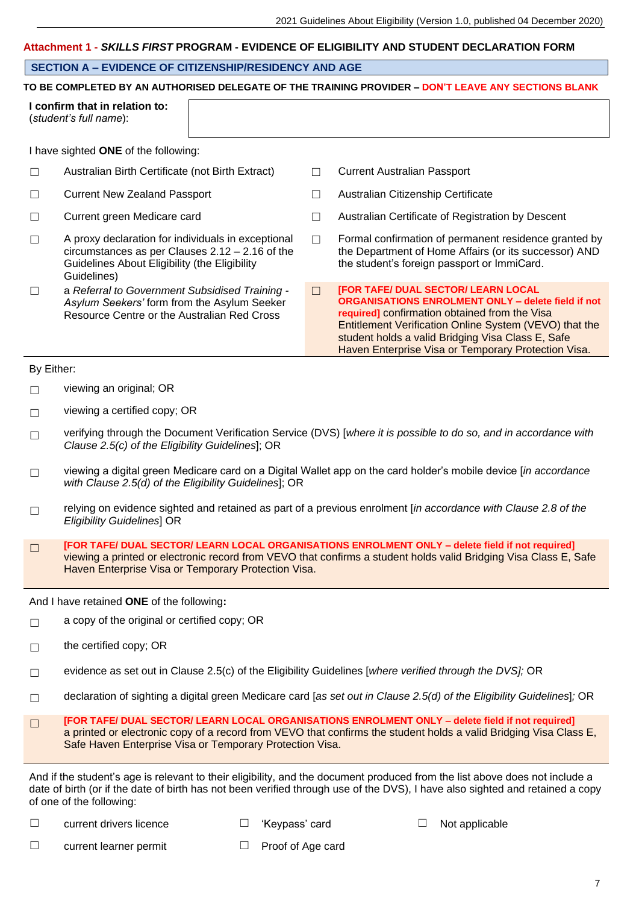#### **Attachment 1 -** *SKILLS FIRST* **PROGRAM - EVIDENCE OF ELIGIBILITY AND STUDENT DECLARATION FORM**

#### **SECTION A – EVIDENCE OF CITIZENSHIP/RESIDENCY AND AGE**

#### **TO BE COMPLETED BY AN AUTHORISED DELEGATE OF THE TRAINING PROVIDER – DON'T LEAVE ANY SECTIONS BLANK**

|        | I confirm that in relation to:<br>(student's full name):                                                                                                                |        |                                                                                                                                                                                                                                                                                                                                |
|--------|-------------------------------------------------------------------------------------------------------------------------------------------------------------------------|--------|--------------------------------------------------------------------------------------------------------------------------------------------------------------------------------------------------------------------------------------------------------------------------------------------------------------------------------|
|        | I have sighted ONE of the following:                                                                                                                                    |        |                                                                                                                                                                                                                                                                                                                                |
| $\Box$ | Australian Birth Certificate (not Birth Extract)                                                                                                                        |        | Current Australian Passport                                                                                                                                                                                                                                                                                                    |
| $\Box$ | Current New Zealand Passport                                                                                                                                            |        | Australian Citizenship Certificate                                                                                                                                                                                                                                                                                             |
| Г      | Current green Medicare card                                                                                                                                             |        | Australian Certificate of Registration by Descent                                                                                                                                                                                                                                                                              |
| $\Box$ | A proxy declaration for individuals in exceptional<br>circumstances as per Clauses $2.12 - 2.16$ of the<br>Guidelines About Eligibility (the Eligibility<br>Guidelines) |        | Formal confirmation of permanent residence granted by<br>the Department of Home Affairs (or its successor) AND<br>the student's foreign passport or ImmiCard.                                                                                                                                                                  |
| $\Box$ | a Referral to Government Subsidised Training -<br>Asylum Seekers' form from the Asylum Seeker<br>Resource Centre or the Australian Red Cross                            | $\Box$ | <b>[FOR TAFE/ DUAL SECTOR/ LEARN LOCAL</b><br><b>ORGANISATIONS ENROLMENT ONLY - delete field if not</b><br>required] confirmation obtained from the Visa<br>Entitlement Verification Online System (VEVO) that the<br>student holds a valid Bridging Visa Class E, Safe<br>Haven Enterprise Visa or Temporary Protection Visa. |

By Either:

☐ viewing an original; OR

- $\Box$  viewing a certified copy; OR
- ☐ verifying through the Document Verification Service (DVS) [*where it is possible to do so, and in accordance with Clause 2.5(c) of the Eligibility Guidelines*]; OR
- ☐ viewing a digital green Medicare card on a Digital Wallet app on the card holder's mobile device [*in accordance with Clause 2.5(d) of the Eligibility Guidelines*]; OR
- ☐ relying on evidence sighted and retained as part of a previous enrolment [*in accordance with Clause 2.8 of the Eligibility Guidelines*] OR
- ☐ **[FOR TAFE/ DUAL SECTOR/ LEARN LOCAL ORGANISATIONS ENROLMENT ONLY – delete field if not required]** viewing a printed or electronic record from VEVO that confirms a student holds valid Bridging Visa Class E, Safe Haven Enterprise Visa or Temporary Protection Visa.

And I have retained **ONE** of the following**:**

- $\Box$  a copy of the original or certified copy; OR
- $\Box$  the certified copy; OR
- ☐ evidence as set out in Clause 2.5(c) of the Eligibility Guidelines [*where verified through the DVS];* OR
- ☐ declaration of sighting a digital green Medicare card [*as set out in Clause 2.5(d) of the Eligibility Guidelines*]*;* OR
- ☐ **[FOR TAFE/ DUAL SECTOR/ LEARN LOCAL ORGANISATIONS ENROLMENT ONLY – delete field if not required]** a printed or electronic copy of a record from VEVO that confirms the student holds a valid Bridging Visa Class E, Safe Haven Enterprise Visa or Temporary Protection Visa.

And if the student's age is relevant to their eligibility, and the document produced from the list above does not include a date of birth (or if the date of birth has not been verified through use of the DVS), I have also sighted and retained a copy of one of the following:

☐ current drivers licence ☐ 'Keypass' card ☐ Not applicable

- 
- ☐ current learner permit ☐ Proof of Age card
-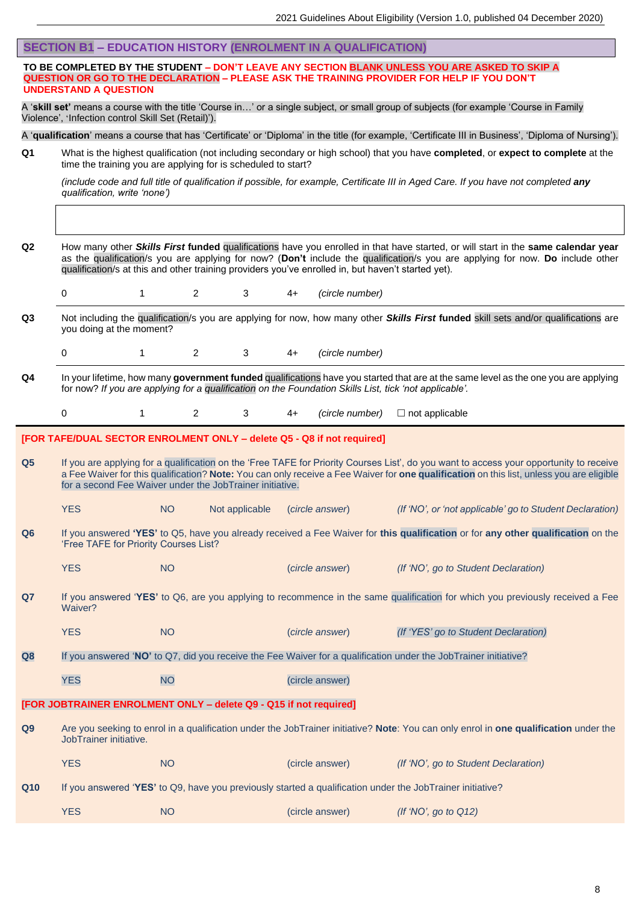|                                                                                                                                                                                                                             | <b>SECTION B1 - EDUCATION HISTORY (ENROLMENT IN A QUALIFICATION)</b>                                                                                                                          |                |                |    |                 |                                                                                                                                                                                                                                                                                     |  |
|-----------------------------------------------------------------------------------------------------------------------------------------------------------------------------------------------------------------------------|-----------------------------------------------------------------------------------------------------------------------------------------------------------------------------------------------|----------------|----------------|----|-----------------|-------------------------------------------------------------------------------------------------------------------------------------------------------------------------------------------------------------------------------------------------------------------------------------|--|
| TO BE COMPLETED BY THE STUDENT - DON'T LEAVE ANY SECTION BLANK UNLESS YOU ARE ASKED TO SKIP A<br>QUESTION OR GO TO THE DECLARATION - PLEASE ASK THE TRAINING PROVIDER FOR HELP IF YOU DON'T<br><b>UNDERSTAND A QUESTION</b> |                                                                                                                                                                                               |                |                |    |                 |                                                                                                                                                                                                                                                                                     |  |
|                                                                                                                                                                                                                             | A 'skill set' means a course with the title 'Course in' or a single subject, or small group of subjects (for example 'Course in Family<br>Violence', 'Infection control Skill Set (Retail)'). |                |                |    |                 |                                                                                                                                                                                                                                                                                     |  |
|                                                                                                                                                                                                                             |                                                                                                                                                                                               |                |                |    |                 | A 'qualification' means a course that has 'Certificate' or 'Diploma' in the title (for example, 'Certificate III in Business', 'Diploma of Nursing').                                                                                                                               |  |
| Q1                                                                                                                                                                                                                          | time the training you are applying for is scheduled to start?                                                                                                                                 |                |                |    |                 | What is the highest qualification (not including secondary or high school) that you have completed, or expect to complete at the                                                                                                                                                    |  |
|                                                                                                                                                                                                                             | qualification, write 'none')                                                                                                                                                                  |                |                |    |                 | (include code and full title of qualification if possible, for example, Certificate III in Aged Care. If you have not completed any                                                                                                                                                 |  |
|                                                                                                                                                                                                                             |                                                                                                                                                                                               |                |                |    |                 |                                                                                                                                                                                                                                                                                     |  |
| Q <sub>2</sub>                                                                                                                                                                                                              | qualification/s at this and other training providers you've enrolled in, but haven't started yet).                                                                                            |                |                |    |                 | How many other Skills First funded qualifications have you enrolled in that have started, or will start in the same calendar year<br>as the qualification/s you are applying for now? (Don't include the qualification/s you are applying for now. Do include other                 |  |
|                                                                                                                                                                                                                             | 0<br>$\mathbf{1}$                                                                                                                                                                             | $\overline{2}$ | 3              | 4+ | (circle number) |                                                                                                                                                                                                                                                                                     |  |
| Q3                                                                                                                                                                                                                          | you doing at the moment?                                                                                                                                                                      |                |                |    |                 | Not including the qualification/s you are applying for now, how many other Skills First funded skill sets and/or qualifications are                                                                                                                                                 |  |
|                                                                                                                                                                                                                             | 0<br>1                                                                                                                                                                                        | $\overline{2}$ | 3              | 4+ | (circle number) |                                                                                                                                                                                                                                                                                     |  |
| Q4                                                                                                                                                                                                                          | for now? If you are applying for a qualification on the Foundation Skills List, tick 'not applicable'.                                                                                        |                |                |    |                 | In your lifetime, how many government funded qualifications have you started that are at the same level as the one you are applying                                                                                                                                                 |  |
|                                                                                                                                                                                                                             | 0<br>1                                                                                                                                                                                        | $\overline{2}$ |                |    |                 |                                                                                                                                                                                                                                                                                     |  |
|                                                                                                                                                                                                                             |                                                                                                                                                                                               |                | 3              | 4+ | (circle number) | $\Box$ not applicable                                                                                                                                                                                                                                                               |  |
|                                                                                                                                                                                                                             |                                                                                                                                                                                               |                |                |    |                 |                                                                                                                                                                                                                                                                                     |  |
| Q <sub>5</sub>                                                                                                                                                                                                              | [FOR TAFE/DUAL SECTOR ENROLMENT ONLY - delete Q5 - Q8 if not required]<br>for a second Fee Waiver under the JobTrainer initiative.                                                            |                |                |    |                 | If you are applying for a qualification on the 'Free TAFE for Priority Courses List', do you want to access your opportunity to receive<br>a Fee Waiver for this qualification? Note: You can only receive a Fee Waiver for one qualification on this list, unless you are eligible |  |
|                                                                                                                                                                                                                             | <b>YES</b>                                                                                                                                                                                    | NO.            | Not applicable |    | (circle answer) | (If 'NO', or 'not applicable' go to Student Declaration)                                                                                                                                                                                                                            |  |
| Q6                                                                                                                                                                                                                          | 'Free TAFE for Priority Courses List?                                                                                                                                                         |                |                |    |                 | If you answered 'YES' to Q5, have you already received a Fee Waiver for this qualification or for any other qualification on the                                                                                                                                                    |  |
|                                                                                                                                                                                                                             | <b>YES</b>                                                                                                                                                                                    | <b>NO</b>      |                |    | (circle answer) | (If 'NO', go to Student Declaration)                                                                                                                                                                                                                                                |  |
| Q7                                                                                                                                                                                                                          | Waiver?                                                                                                                                                                                       |                |                |    |                 | If you answered 'YES' to Q6, are you applying to recommence in the same qualification for which you previously received a Fee                                                                                                                                                       |  |
|                                                                                                                                                                                                                             | <b>YES</b>                                                                                                                                                                                    | <b>NO</b>      |                |    | (circle answer) | (If 'YES' go to Student Declaration)                                                                                                                                                                                                                                                |  |
| Q8                                                                                                                                                                                                                          |                                                                                                                                                                                               |                |                |    |                 | If you answered 'NO' to Q7, did you receive the Fee Waiver for a qualification under the JobTrainer initiative?                                                                                                                                                                     |  |
|                                                                                                                                                                                                                             | <b>YES</b>                                                                                                                                                                                    | <b>NO</b>      |                |    | (circle answer) |                                                                                                                                                                                                                                                                                     |  |
|                                                                                                                                                                                                                             | [FOR JOBTRAINER ENROLMENT ONLY - delete Q9 - Q15 if not required]                                                                                                                             |                |                |    |                 |                                                                                                                                                                                                                                                                                     |  |
| Q9                                                                                                                                                                                                                          | JobTrainer initiative.                                                                                                                                                                        |                |                |    |                 | Are you seeking to enrol in a qualification under the JobTrainer initiative? Note: You can only enrol in one qualification under the                                                                                                                                                |  |
|                                                                                                                                                                                                                             | <b>YES</b>                                                                                                                                                                                    | <b>NO</b>      |                |    | (circle answer) | (If 'NO', go to Student Declaration)                                                                                                                                                                                                                                                |  |
| Q10                                                                                                                                                                                                                         |                                                                                                                                                                                               |                |                |    |                 | If you answered 'YES' to Q9, have you previously started a qualification under the JobTrainer initiative?                                                                                                                                                                           |  |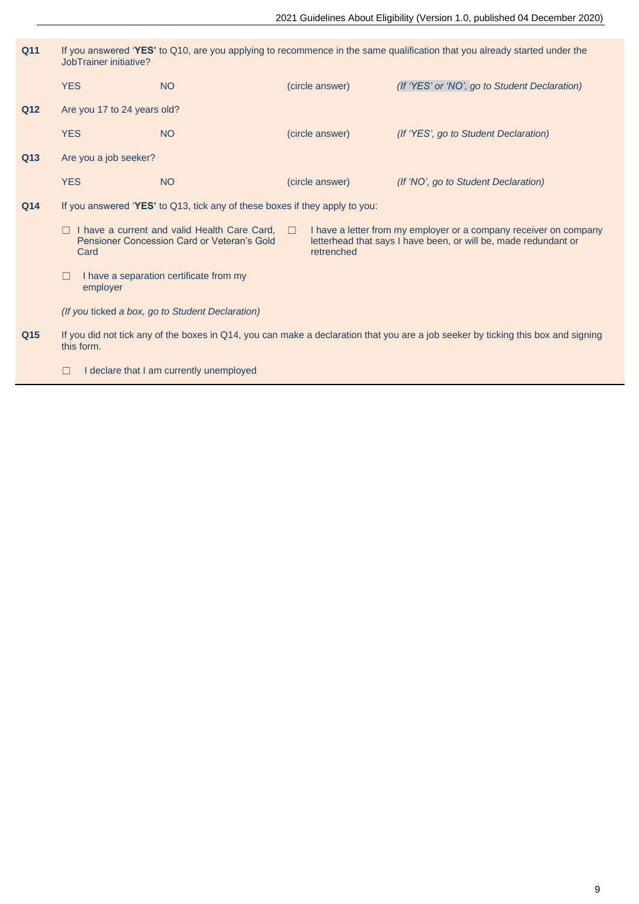| Q11 | If you answered 'YES' to Q10, are you applying to recommence in the same qualification that you already started under the<br>JobTrainer initiative?                         |                                                                             |                      |                 |                                                                                                                                      |  |  |
|-----|-----------------------------------------------------------------------------------------------------------------------------------------------------------------------------|-----------------------------------------------------------------------------|----------------------|-----------------|--------------------------------------------------------------------------------------------------------------------------------------|--|--|
|     | <b>YES</b>                                                                                                                                                                  | <b>NO</b>                                                                   |                      | (circle answer) | (If 'YES' or 'NO', go to Student Declaration)                                                                                        |  |  |
| Q12 | Are you 17 to 24 years old?                                                                                                                                                 |                                                                             |                      |                 |                                                                                                                                      |  |  |
|     | <b>YES</b>                                                                                                                                                                  | <b>NO</b>                                                                   |                      | (circle answer) | (If 'YES', go to Student Declaration)                                                                                                |  |  |
| Q13 | Are you a job seeker?                                                                                                                                                       |                                                                             |                      |                 |                                                                                                                                      |  |  |
|     | <b>YES</b>                                                                                                                                                                  | <b>NO</b>                                                                   |                      | (circle answer) | (If 'NO', go to Student Declaration)                                                                                                 |  |  |
| Q14 |                                                                                                                                                                             | If you answered 'YES' to Q13, tick any of these boxes if they apply to you: |                      |                 |                                                                                                                                      |  |  |
|     | $\Box$ I have a current and valid Health Care Card,<br>Pensioner Concession Card or Veteran's Gold<br>Card<br>I have a separation certificate from my<br>$\Box$<br>employer |                                                                             | $\Box$<br>retrenched |                 | I have a letter from my employer or a company receiver on company<br>letterhead that says I have been, or will be, made redundant or |  |  |
|     |                                                                                                                                                                             |                                                                             |                      |                 |                                                                                                                                      |  |  |
|     |                                                                                                                                                                             | (If you ticked a box, go to Student Declaration)                            |                      |                 |                                                                                                                                      |  |  |
| Q15 | this form.                                                                                                                                                                  |                                                                             |                      |                 | If you did not tick any of the boxes in Q14, you can make a declaration that you are a job seeker by ticking this box and signing    |  |  |
|     | П                                                                                                                                                                           | I declare that I am currently unemployed                                    |                      |                 |                                                                                                                                      |  |  |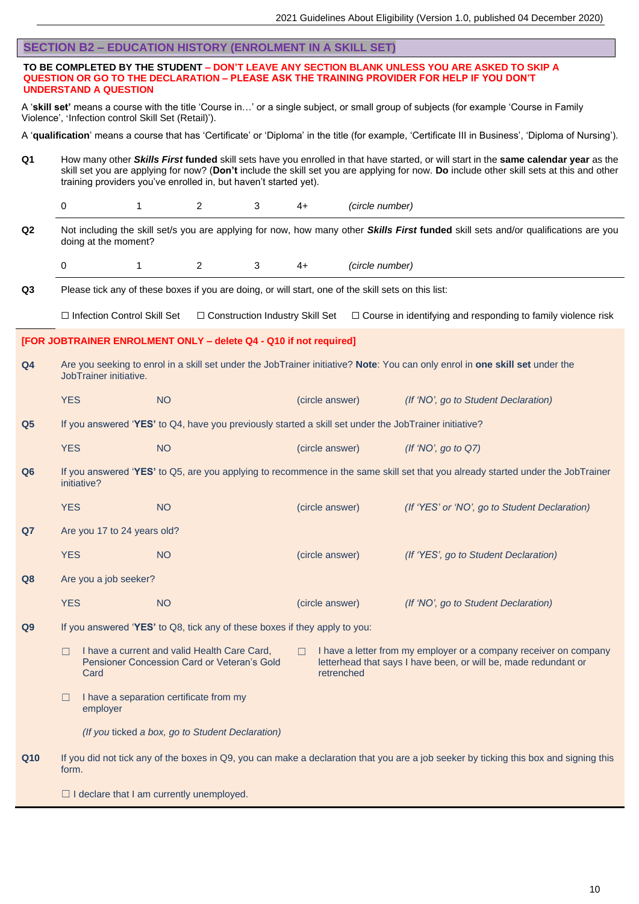| <b>SECTION B2 - EDUCATION HISTORY (ENROLMENT IN A SKILL SET)</b>                                                                                                                              |                                                                                                                                                                                                                                                                                                                                                      |                                                                                                     |           |                                   |   |        |                 |                 |                                                                                                                                                                                                    |
|-----------------------------------------------------------------------------------------------------------------------------------------------------------------------------------------------|------------------------------------------------------------------------------------------------------------------------------------------------------------------------------------------------------------------------------------------------------------------------------------------------------------------------------------------------------|-----------------------------------------------------------------------------------------------------|-----------|-----------------------------------|---|--------|-----------------|-----------------|----------------------------------------------------------------------------------------------------------------------------------------------------------------------------------------------------|
|                                                                                                                                                                                               |                                                                                                                                                                                                                                                                                                                                                      | <b>UNDERSTAND A QUESTION</b>                                                                        |           |                                   |   |        |                 |                 | TO BE COMPLETED BY THE STUDENT - DON'T LEAVE ANY SECTION BLANK UNLESS YOU ARE ASKED TO SKIP A<br><b>QUESTION OR GO TO THE DECLARATION - PLEASE ASK THE TRAINING PROVIDER FOR HELP IF YOU DON'T</b> |
| A 'skill set' means a course with the title 'Course in' or a single subject, or small group of subjects (for example 'Course in Family<br>Violence', 'Infection control Skill Set (Retail)'). |                                                                                                                                                                                                                                                                                                                                                      |                                                                                                     |           |                                   |   |        |                 |                 |                                                                                                                                                                                                    |
|                                                                                                                                                                                               |                                                                                                                                                                                                                                                                                                                                                      |                                                                                                     |           |                                   |   |        |                 |                 | A 'qualification' means a course that has 'Certificate' or 'Diploma' in the title (for example, 'Certificate III in Business', 'Diploma of Nursing').                                              |
| Q <sub>1</sub>                                                                                                                                                                                | How many other Skills First funded skill sets have you enrolled in that have started, or will start in the same calendar year as the<br>skill set you are applying for now? (Don't include the skill set you are applying for now. Do include other skill sets at this and other<br>training providers you've enrolled in, but haven't started yet). |                                                                                                     |           |                                   |   |        |                 |                 |                                                                                                                                                                                                    |
|                                                                                                                                                                                               | 0                                                                                                                                                                                                                                                                                                                                                    | 1                                                                                                   |           | 2                                 | 3 | $4+$   |                 | (circle number) |                                                                                                                                                                                                    |
| Q <sub>2</sub>                                                                                                                                                                                |                                                                                                                                                                                                                                                                                                                                                      | doing at the moment?                                                                                |           |                                   |   |        |                 |                 | Not including the skill set/s you are applying for now, how many other Skills First funded skill sets and/or qualifications are you                                                                |
|                                                                                                                                                                                               | 0                                                                                                                                                                                                                                                                                                                                                    | $\mathbf{1}$                                                                                        |           | 2                                 | 3 | $4+$   |                 | (circle number) |                                                                                                                                                                                                    |
| Q <sub>3</sub>                                                                                                                                                                                |                                                                                                                                                                                                                                                                                                                                                      | Please tick any of these boxes if you are doing, or will start, one of the skill sets on this list: |           |                                   |   |        |                 |                 |                                                                                                                                                                                                    |
|                                                                                                                                                                                               |                                                                                                                                                                                                                                                                                                                                                      | □ Infection Control Skill Set                                                                       |           | □ Construction Industry Skill Set |   |        |                 |                 | □ Course in identifying and responding to family violence risk                                                                                                                                     |
|                                                                                                                                                                                               |                                                                                                                                                                                                                                                                                                                                                      | [FOR JOBTRAINER ENROLMENT ONLY - delete Q4 - Q10 if not required]                                   |           |                                   |   |        |                 |                 |                                                                                                                                                                                                    |
| Q <sub>4</sub>                                                                                                                                                                                |                                                                                                                                                                                                                                                                                                                                                      | JobTrainer initiative.                                                                              |           |                                   |   |        |                 |                 | Are you seeking to enrol in a skill set under the JobTrainer initiative? Note: You can only enrol in one skill set under the                                                                       |
|                                                                                                                                                                                               | <b>YES</b>                                                                                                                                                                                                                                                                                                                                           |                                                                                                     | <b>NO</b> |                                   |   |        | (circle answer) |                 | (If 'NO', go to Student Declaration)                                                                                                                                                               |
| Q <sub>5</sub>                                                                                                                                                                                |                                                                                                                                                                                                                                                                                                                                                      |                                                                                                     |           |                                   |   |        |                 |                 | If you answered 'YES' to Q4, have you previously started a skill set under the JobTrainer initiative?                                                                                              |
|                                                                                                                                                                                               | <b>YES</b>                                                                                                                                                                                                                                                                                                                                           |                                                                                                     | <b>NO</b> |                                   |   |        | (circle answer) |                 | (If 'NO', go to $Q7$ )                                                                                                                                                                             |
| Q <sub>6</sub>                                                                                                                                                                                |                                                                                                                                                                                                                                                                                                                                                      | initiative?                                                                                         |           |                                   |   |        |                 |                 | If you answered 'YES' to Q5, are you applying to recommence in the same skill set that you already started under the JobTrainer                                                                    |
|                                                                                                                                                                                               | <b>YES</b>                                                                                                                                                                                                                                                                                                                                           |                                                                                                     | <b>NO</b> |                                   |   |        | (circle answer) |                 | (If 'YES' or 'NO', go to Student Declaration)                                                                                                                                                      |
| Q7                                                                                                                                                                                            |                                                                                                                                                                                                                                                                                                                                                      | Are you 17 to 24 years old?                                                                         |           |                                   |   |        |                 |                 |                                                                                                                                                                                                    |
|                                                                                                                                                                                               | <b>YES</b>                                                                                                                                                                                                                                                                                                                                           |                                                                                                     | <b>NO</b> |                                   |   |        | (circle answer) |                 | (If 'YES', go to Student Declaration)                                                                                                                                                              |
| Q8                                                                                                                                                                                            |                                                                                                                                                                                                                                                                                                                                                      | Are you a job seeker?                                                                               |           |                                   |   |        |                 |                 |                                                                                                                                                                                                    |
|                                                                                                                                                                                               | <b>YES</b>                                                                                                                                                                                                                                                                                                                                           |                                                                                                     | <b>NO</b> |                                   |   |        | (circle answer) |                 | (If 'NO', go to Student Declaration)                                                                                                                                                               |
| Q <sub>9</sub>                                                                                                                                                                                |                                                                                                                                                                                                                                                                                                                                                      | If you answered 'YES' to Q8, tick any of these boxes if they apply to you:                          |           |                                   |   |        |                 |                 |                                                                                                                                                                                                    |
|                                                                                                                                                                                               | П                                                                                                                                                                                                                                                                                                                                                    | I have a current and valid Health Care Card,<br>Pensioner Concession Card or Veteran's Gold<br>Card |           |                                   |   | $\Box$ | retrenched      |                 | I have a letter from my employer or a company receiver on company<br>letterhead that says I have been, or will be, made redundant or                                                               |
|                                                                                                                                                                                               | П                                                                                                                                                                                                                                                                                                                                                    | I have a separation certificate from my<br>employer                                                 |           |                                   |   |        |                 |                 |                                                                                                                                                                                                    |
|                                                                                                                                                                                               |                                                                                                                                                                                                                                                                                                                                                      | (If you ticked a box, go to Student Declaration)                                                    |           |                                   |   |        |                 |                 |                                                                                                                                                                                                    |
| Q10                                                                                                                                                                                           | form.                                                                                                                                                                                                                                                                                                                                                |                                                                                                     |           |                                   |   |        |                 |                 | If you did not tick any of the boxes in Q9, you can make a declaration that you are a job seeker by ticking this box and signing this                                                              |
|                                                                                                                                                                                               |                                                                                                                                                                                                                                                                                                                                                      | $\Box$ I declare that I am currently unemployed.                                                    |           |                                   |   |        |                 |                 |                                                                                                                                                                                                    |

10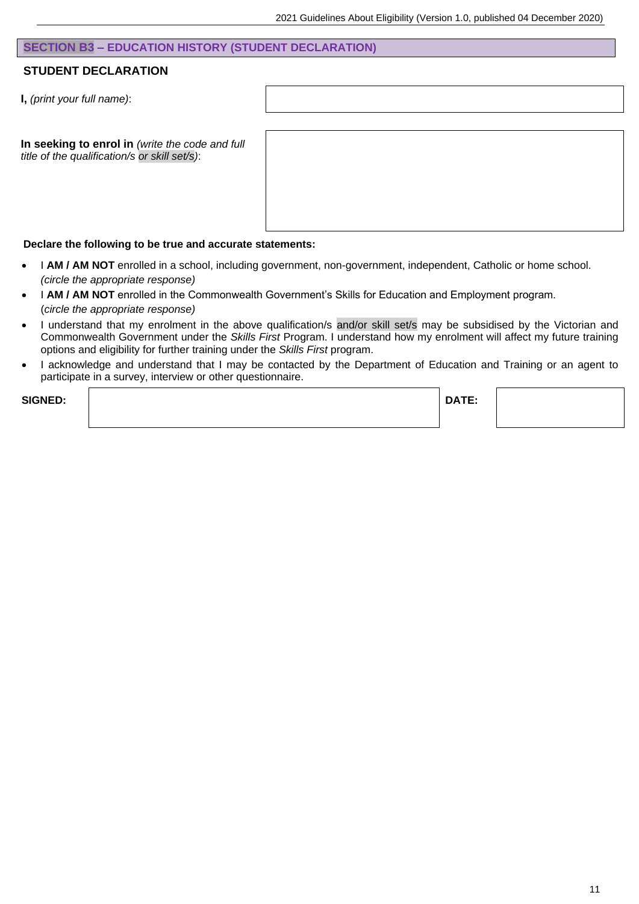#### **SECTION B3 – EDUCATION HISTORY (STUDENT DECLARATION)**

#### **STUDENT DECLARATION**

**I,** *(print your full name)*:

**In seeking to enrol in** *(write the code and full title of the qualification/s or skill set/s)*:

#### **Declare the following to be true and accurate statements:**

- I **AM / AM NOT** enrolled in a school, including government, non-government, independent, Catholic or home school. *(circle the appropriate response)*
- I **AM / AM NOT** enrolled in the Commonwealth Government's Skills for Education and Employment program. (*circle the appropriate response)*
- I understand that my enrolment in the above qualification/s and/or skill set/s may be subsidised by the Victorian and Commonwealth Government under the *Skills First* Program. I understand how my enrolment will affect my future training options and eligibility for further training under the *Skills First* program.
- I acknowledge and understand that I may be contacted by the Department of Education and Training or an agent to participate in a survey, interview or other questionnaire.

| <b>SIGNED:</b> | DATE: |  |
|----------------|-------|--|
|                |       |  |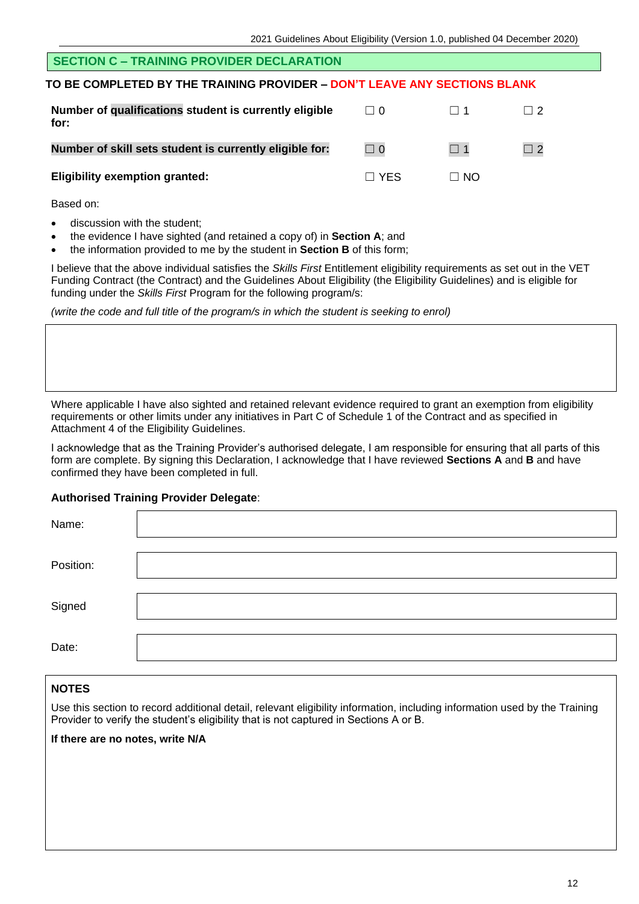#### **SECTION C – TRAINING PROVIDER DECLARATION**

#### **TO BE COMPLETED BY THE TRAINING PROVIDER – DON'T LEAVE ANY SECTIONS BLANK**

| Number of qualifications student is currently eligible<br>for: | $\Box$ 0   | $\Box$ 1  | $\Box$ 2 |
|----------------------------------------------------------------|------------|-----------|----------|
| Number of skill sets student is currently eligible for:        | $\Box$ 0   | $\Box$ 1  | $\Box$ 2 |
| <b>Eligibility exemption granted:</b>                          | $\Box$ YFS | $\Box$ No |          |

Based on:

- discussion with the student:
- the evidence I have sighted (and retained a copy of) in **Section A**; and
- the information provided to me by the student in **Section B** of this form;

I believe that the above individual satisfies the *Skills First* Entitlement eligibility requirements as set out in the VET Funding Contract (the Contract) and the Guidelines About Eligibility (the Eligibility Guidelines) and is eligible for funding under the *Skills First* Program for the following program/s:

*(write the code and full title of the program/s in which the student is seeking to enrol)*

Where applicable I have also sighted and retained relevant evidence required to grant an exemption from eligibility requirements or other limits under any initiatives in Part C of Schedule 1 of the Contract and as specified in Attachment 4 of the Eligibility Guidelines.

I acknowledge that as the Training Provider's authorised delegate, I am responsible for ensuring that all parts of this form are complete. By signing this Declaration, I acknowledge that I have reviewed **Sections A** and **B** and have confirmed they have been completed in full.

#### **Authorised Training Provider Delegate**:

| Name:     |  |
|-----------|--|
| Position: |  |
| Signed    |  |
| Date:     |  |

#### **NOTES**

Use this section to record additional detail, relevant eligibility information, including information used by the Training Provider to verify the student's eligibility that is not captured in Sections A or B.

**If there are no notes, write N/A**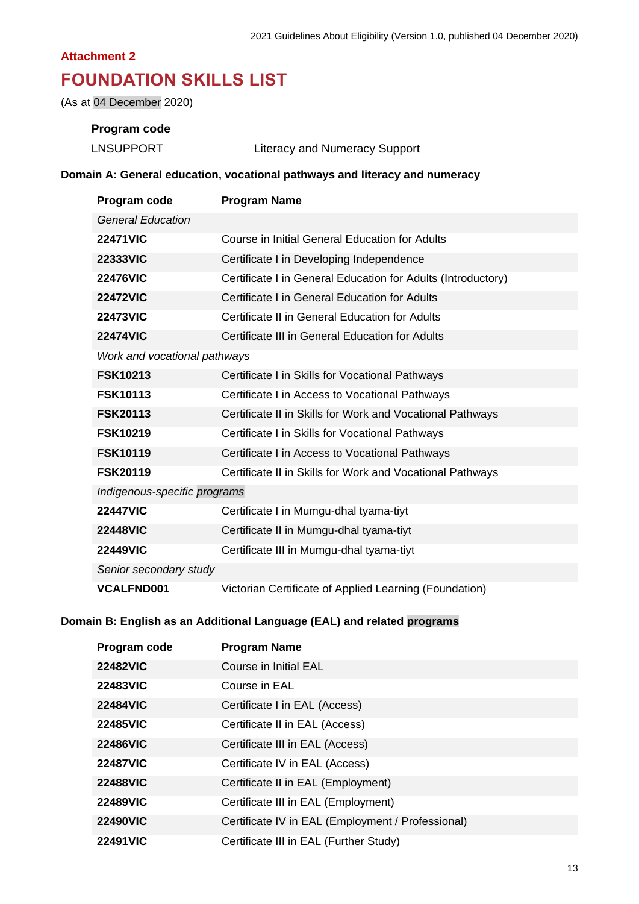## **FOUNDATION SKILLS LIST**

(As at 04 December 2020)

#### **Program code**

| <b>LNSUPPORT</b> | <b>Literacy and Numeracy Support</b> |
|------------------|--------------------------------------|
|------------------|--------------------------------------|

#### **Domain A: General education, vocational pathways and literacy and numeracy**

| Program code                 | <b>Program Name</b>                                          |
|------------------------------|--------------------------------------------------------------|
| <b>General Education</b>     |                                                              |
| <b>22471VIC</b>              | Course in Initial General Education for Adults               |
| <b>22333VIC</b>              | Certificate I in Developing Independence                     |
| <b>22476VIC</b>              | Certificate I in General Education for Adults (Introductory) |
| <b>22472VIC</b>              | Certificate I in General Education for Adults                |
| <b>22473VIC</b>              | Certificate II in General Education for Adults               |
| <b>22474VIC</b>              | Certificate III in General Education for Adults              |
| Work and vocational pathways |                                                              |
| <b>FSK10213</b>              | Certificate I in Skills for Vocational Pathways              |
| <b>FSK10113</b>              | Certificate I in Access to Vocational Pathways               |
| <b>FSK20113</b>              | Certificate II in Skills for Work and Vocational Pathways    |
| <b>FSK10219</b>              | Certificate I in Skills for Vocational Pathways              |
| <b>FSK10119</b>              | Certificate I in Access to Vocational Pathways               |
| <b>FSK20119</b>              | Certificate II in Skills for Work and Vocational Pathways    |
| Indigenous-specific programs |                                                              |
| <b>22447VIC</b>              | Certificate I in Mumgu-dhal tyama-tiyt                       |
| <b>22448VIC</b>              | Certificate II in Mumgu-dhal tyama-tiyt                      |
| <b>22449VIC</b>              | Certificate III in Mumgu-dhal tyama-tiyt                     |
| Senior secondary study       |                                                              |
| <b>VCALFND001</b>            | Victorian Certificate of Applied Learning (Foundation)       |

#### **Domain B: English as an Additional Language (EAL) and related programs**

| Program code    | <b>Program Name</b>                               |
|-----------------|---------------------------------------------------|
| <b>22482VIC</b> | Course in Initial EAL                             |
| <b>22483VIC</b> | Course in EAL                                     |
| <b>22484VIC</b> | Certificate I in EAL (Access)                     |
| <b>22485VIC</b> | Certificate II in EAL (Access)                    |
| <b>22486VIC</b> | Certificate III in EAL (Access)                   |
| <b>22487VIC</b> | Certificate IV in EAL (Access)                    |
| <b>22488VIC</b> | Certificate II in EAL (Employment)                |
| <b>22489VIC</b> | Certificate III in EAL (Employment)               |
| <b>22490VIC</b> | Certificate IV in EAL (Employment / Professional) |
| <b>22491VIC</b> | Certificate III in EAL (Further Study)            |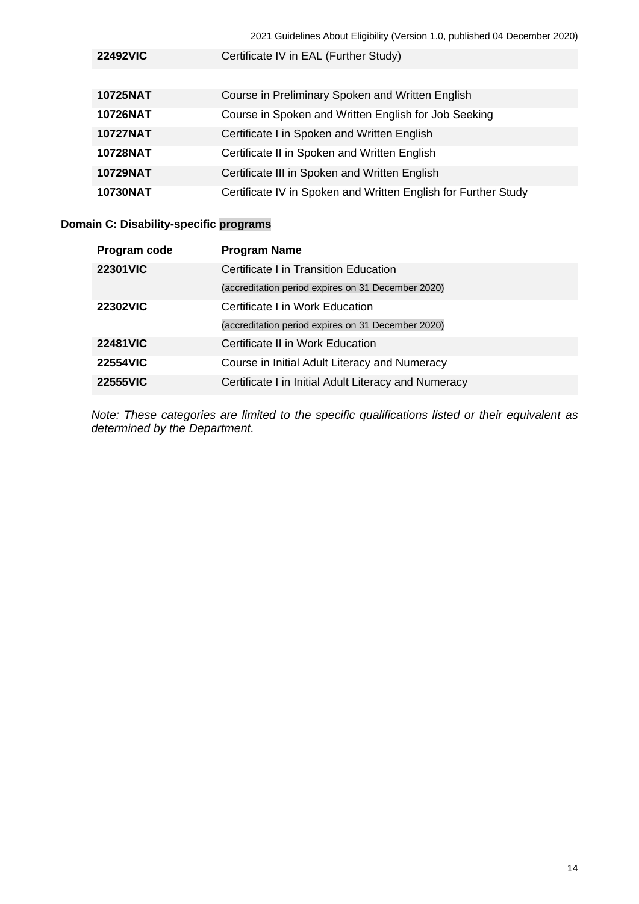2021 Guidelines About Eligibility (Version 1.0, published 04 December 2020)

| <b>22492VIC</b> | Certificate IV in EAL (Further Study)                          |  |  |  |
|-----------------|----------------------------------------------------------------|--|--|--|
|                 |                                                                |  |  |  |
| <b>10725NAT</b> | Course in Preliminary Spoken and Written English               |  |  |  |
| <b>10726NAT</b> | Course in Spoken and Written English for Job Seeking           |  |  |  |
| <b>10727NAT</b> | Certificate I in Spoken and Written English                    |  |  |  |
| <b>10728NAT</b> | Certificate II in Spoken and Written English                   |  |  |  |
| <b>10729NAT</b> | Certificate III in Spoken and Written English                  |  |  |  |
| <b>10730NAT</b> | Certificate IV in Spoken and Written English for Further Study |  |  |  |

#### **Domain C: Disability-specific programs**

| Program code    | <b>Program Name</b>                                  |
|-----------------|------------------------------------------------------|
| <b>22301VIC</b> | Certificate I in Transition Education                |
|                 | (accreditation period expires on 31 December 2020)   |
| <b>22302VIC</b> | Certificate I in Work Education                      |
|                 | (accreditation period expires on 31 December 2020)   |
| <b>22481VIC</b> | Certificate II in Work Education                     |
| <b>22554VIC</b> | Course in Initial Adult Literacy and Numeracy        |
| <b>22555VIC</b> | Certificate I in Initial Adult Literacy and Numeracy |

*Note: These categories are limited to the specific qualifications listed or their equivalent as determined by the Department.*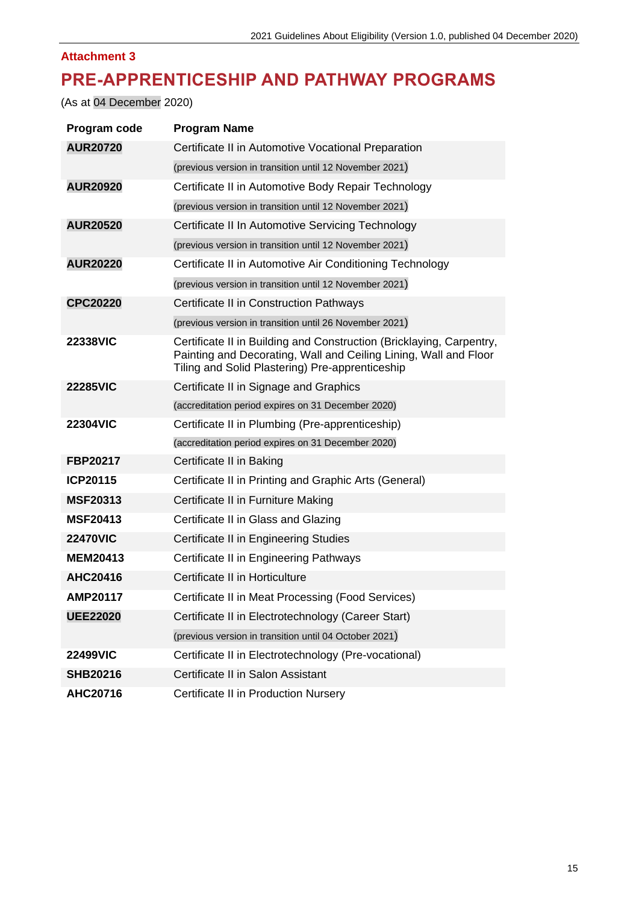### **PRE-APPRENTICESHIP AND PATHWAY PROGRAMS**

(As at 04 December 2020)

| Program code    | <b>Program Name</b>                                                                                                                                                                         |
|-----------------|---------------------------------------------------------------------------------------------------------------------------------------------------------------------------------------------|
| <b>AUR20720</b> | Certificate II in Automotive Vocational Preparation                                                                                                                                         |
|                 | (previous version in transition until 12 November 2021)                                                                                                                                     |
| <b>AUR20920</b> | Certificate II in Automotive Body Repair Technology                                                                                                                                         |
|                 | (previous version in transition until 12 November 2021)                                                                                                                                     |
| <b>AUR20520</b> | Certificate II In Automotive Servicing Technology                                                                                                                                           |
|                 | (previous version in transition until 12 November 2021)                                                                                                                                     |
| <b>AUR20220</b> | Certificate II in Automotive Air Conditioning Technology                                                                                                                                    |
|                 | (previous version in transition until 12 November 2021)                                                                                                                                     |
| <b>CPC20220</b> | Certificate II in Construction Pathways                                                                                                                                                     |
|                 | (previous version in transition until 26 November 2021)                                                                                                                                     |
| <b>22338VIC</b> | Certificate II in Building and Construction (Bricklaying, Carpentry,<br>Painting and Decorating, Wall and Ceiling Lining, Wall and Floor<br>Tiling and Solid Plastering) Pre-apprenticeship |
| <b>22285VIC</b> | Certificate II in Signage and Graphics                                                                                                                                                      |
|                 | (accreditation period expires on 31 December 2020)                                                                                                                                          |
| <b>22304VIC</b> | Certificate II in Plumbing (Pre-apprenticeship)                                                                                                                                             |
|                 | (accreditation period expires on 31 December 2020)                                                                                                                                          |
| FBP20217        | Certificate II in Baking                                                                                                                                                                    |
| <b>ICP20115</b> | Certificate II in Printing and Graphic Arts (General)                                                                                                                                       |
| <b>MSF20313</b> | Certificate II in Furniture Making                                                                                                                                                          |
| <b>MSF20413</b> | Certificate II in Glass and Glazing                                                                                                                                                         |
| <b>22470VIC</b> | Certificate II in Engineering Studies                                                                                                                                                       |
| <b>MEM20413</b> | Certificate II in Engineering Pathways                                                                                                                                                      |
| AHC20416        | Certificate II in Horticulture                                                                                                                                                              |
| AMP20117        | Certificate II in Meat Processing (Food Services)                                                                                                                                           |
| <b>UEE22020</b> | Certificate II in Electrotechnology (Career Start)                                                                                                                                          |
|                 | (previous version in transition until 04 October 2021)                                                                                                                                      |
| <b>22499VIC</b> | Certificate II in Electrotechnology (Pre-vocational)                                                                                                                                        |
| <b>SHB20216</b> | Certificate II in Salon Assistant                                                                                                                                                           |
| AHC20716        | Certificate II in Production Nursery                                                                                                                                                        |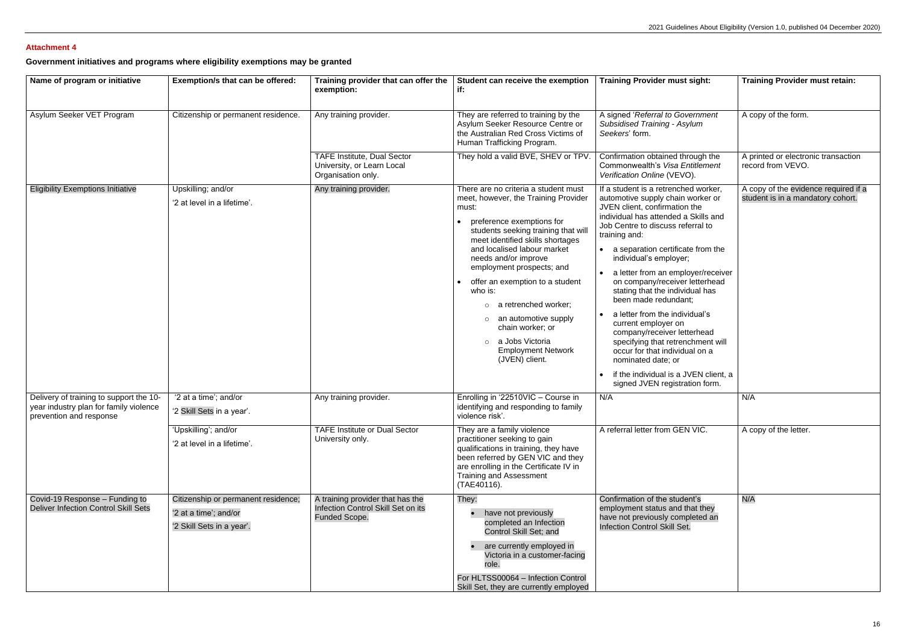**Government initiatives and programs where eligibility exemptions may be granted**

| Name of program or initiative                                                                                | Exemption/s that can be offered:                                                          | Training provider that can offer the<br>exemption:                                             | Student can receive the exemption<br>if.                                                                                                                                                                                                                                                                                                                                                                                                                                         | <b>Training Provider must sight:</b>                                                                                                                                                                                                                                                                                                                                                                                                                                                                                                                                                                                                                                         | <b>Training Provider must retain:</b>                                     |
|--------------------------------------------------------------------------------------------------------------|-------------------------------------------------------------------------------------------|------------------------------------------------------------------------------------------------|----------------------------------------------------------------------------------------------------------------------------------------------------------------------------------------------------------------------------------------------------------------------------------------------------------------------------------------------------------------------------------------------------------------------------------------------------------------------------------|------------------------------------------------------------------------------------------------------------------------------------------------------------------------------------------------------------------------------------------------------------------------------------------------------------------------------------------------------------------------------------------------------------------------------------------------------------------------------------------------------------------------------------------------------------------------------------------------------------------------------------------------------------------------------|---------------------------------------------------------------------------|
| Asylum Seeker VET Program                                                                                    | Citizenship or permanent residence.                                                       | Any training provider.                                                                         | They are referred to training by the<br>Asylum Seeker Resource Centre or<br>the Australian Red Cross Victims of<br>Human Trafficking Program.                                                                                                                                                                                                                                                                                                                                    | A signed 'Referral to Government<br><b>Subsidised Training - Asylum</b><br>Seekers' form.                                                                                                                                                                                                                                                                                                                                                                                                                                                                                                                                                                                    | A copy of the form.                                                       |
|                                                                                                              |                                                                                           | <b>TAFE Institute, Dual Sector</b><br>University, or Learn Local<br>Organisation only.         | They hold a valid BVE, SHEV or TPV.                                                                                                                                                                                                                                                                                                                                                                                                                                              | Confirmation obtained through the<br>Commonwealth's Visa Entitlement<br>Verification Online (VEVO).                                                                                                                                                                                                                                                                                                                                                                                                                                                                                                                                                                          | A printed or electronic transaction<br>record from VEVO.                  |
| <b>Eligibility Exemptions Initiative</b>                                                                     | Upskilling; and/or<br>'2 at level in a lifetime'.                                         | Any training provider.                                                                         | There are no criteria a student must<br>meet, however, the Training Provider<br>must:<br>preference exemptions for<br>students seeking training that will<br>meet identified skills shortages<br>and localised labour market<br>needs and/or improve<br>employment prospects; and<br>offer an exemption to a student<br>who is:<br>a retrenched worker;<br>an automotive supply<br>$\circ$<br>chain worker; or<br>a Jobs Victoria<br><b>Employment Network</b><br>(JVEN) client. | If a student is a retrenched worker,<br>automotive supply chain worker or<br>JVEN client, confirmation the<br>individual has attended a Skills and<br>Job Centre to discuss referral to<br>training and:<br>• a separation certificate from the<br>individual's employer;<br>a letter from an employer/receiver<br>on company/receiver letterhead<br>stating that the individual has<br>been made redundant;<br>a letter from the individual's<br>current employer on<br>company/receiver letterhead<br>specifying that retrenchment will<br>occur for that individual on a<br>nominated date; or<br>if the individual is a JVEN client, a<br>signed JVEN registration form. | A copy of the evidence required if a<br>student is in a mandatory cohort. |
| Delivery of training to support the 10-<br>year industry plan for family violence<br>prevention and response | '2 at a time'; and/or<br>'2 Skill Sets in a year'.                                        | Any training provider.                                                                         | Enrolling in '22510VIC - Course in<br>identifying and responding to family<br>violence risk'.                                                                                                                                                                                                                                                                                                                                                                                    | N/A                                                                                                                                                                                                                                                                                                                                                                                                                                                                                                                                                                                                                                                                          | N/A                                                                       |
|                                                                                                              | 'Upskilling'; and/or<br>'2 at level in a lifetime'.                                       | <b>TAFE Institute or Dual Sector</b><br>University only.                                       | They are a family violence<br>practitioner seeking to gain<br>qualifications in training, they have<br>been referred by GEN VIC and they<br>are enrolling in the Certificate IV in<br><b>Training and Assessment</b><br>(TAE40116).                                                                                                                                                                                                                                              | A referral letter from GEN VIC.                                                                                                                                                                                                                                                                                                                                                                                                                                                                                                                                                                                                                                              | A copy of the letter.                                                     |
| Covid-19 Response - Funding to<br><b>Deliver Infection Control Skill Sets</b>                                | Citizenship or permanent residence;<br>'2 at a time'; and/or<br>'2 Skill Sets in a year'. | A training provider that has the<br>Infection Control Skill Set on its<br><b>Funded Scope.</b> | They:<br>• have not previously<br>completed an Infection<br>Control Skill Set; and<br>are currently employed in<br>Victoria in a customer-facing<br>role.<br>For HLTSS00064 - Infection Control<br>Skill Set, they are currently employed                                                                                                                                                                                                                                        | Confirmation of the student's<br>employment status and that they<br>have not previously completed an<br>Infection Control Skill Set.                                                                                                                                                                                                                                                                                                                                                                                                                                                                                                                                         | N/A                                                                       |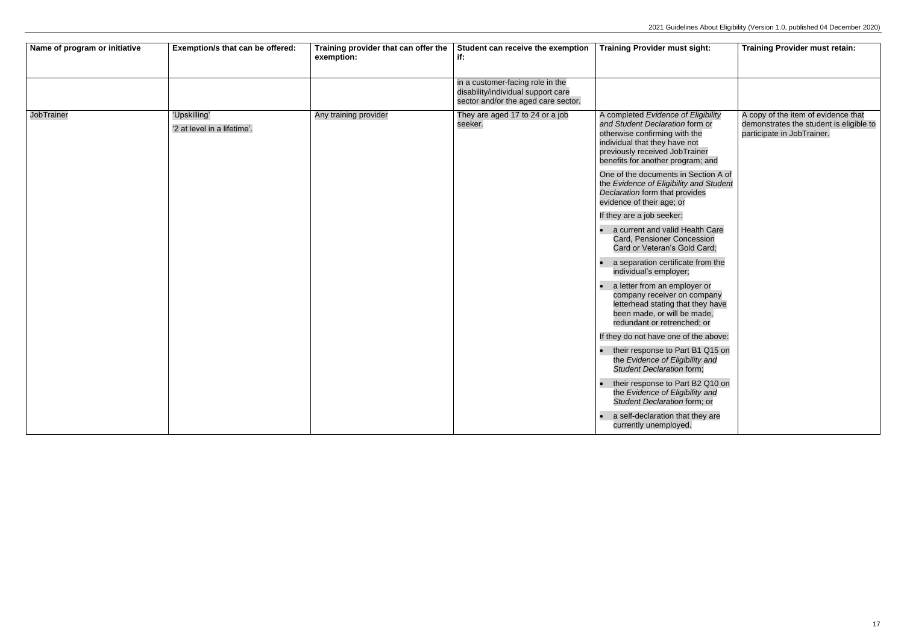| Name of program or initiative | Exemption/s that can be offered:            | Training provider that can offer the<br>exemption: | Student can receive the exemption<br>if:                                                                      | <b>Training Provider must sight:</b>                                                                                                                                                                                                                                                                                                                                                                                                                                                                                                                                                                                                                                                                                                                                                                                                                                                                                                                                                 | <b>Training Provider must retain:</b>                                                                        |
|-------------------------------|---------------------------------------------|----------------------------------------------------|---------------------------------------------------------------------------------------------------------------|--------------------------------------------------------------------------------------------------------------------------------------------------------------------------------------------------------------------------------------------------------------------------------------------------------------------------------------------------------------------------------------------------------------------------------------------------------------------------------------------------------------------------------------------------------------------------------------------------------------------------------------------------------------------------------------------------------------------------------------------------------------------------------------------------------------------------------------------------------------------------------------------------------------------------------------------------------------------------------------|--------------------------------------------------------------------------------------------------------------|
|                               |                                             |                                                    | in a customer-facing role in the<br>disability/individual support care<br>sector and/or the aged care sector. |                                                                                                                                                                                                                                                                                                                                                                                                                                                                                                                                                                                                                                                                                                                                                                                                                                                                                                                                                                                      |                                                                                                              |
| <b>JobTrainer</b>             | 'Upskilling'<br>'2 at level in a lifetime'. | Any training provider                              | They are aged 17 to 24 or a job<br>seeker.                                                                    | A completed Evidence of Eligibility<br>and Student Declaration form or<br>otherwise confirming with the<br>individual that they have not<br>previously received JobTrainer<br>benefits for another program; and<br>One of the documents in Section A of<br>the Evidence of Eligibility and Student<br>Declaration form that provides<br>evidence of their age; or<br>If they are a job seeker:<br>a current and valid Health Care<br>Card, Pensioner Concession<br>Card or Veteran's Gold Card;<br>a separation certificate from the<br>individual's employer;<br>a letter from an employer or<br>company receiver on company<br>letterhead stating that they have<br>been made, or will be made,<br>redundant or retrenched; or<br>If they do not have one of the above:<br>their response to Part B1 Q15 on<br>the Evidence of Eligibility and<br>Student Declaration form;<br>their response to Part B2 Q10 on<br>the Evidence of Eligibility and<br>Student Declaration form; or | A copy of the item of evidence that<br>demonstrates the student is eligible to<br>participate in JobTrainer. |
|                               |                                             |                                                    |                                                                                                               | a self-declaration that they are<br>currently unemployed.                                                                                                                                                                                                                                                                                                                                                                                                                                                                                                                                                                                                                                                                                                                                                                                                                                                                                                                            |                                                                                                              |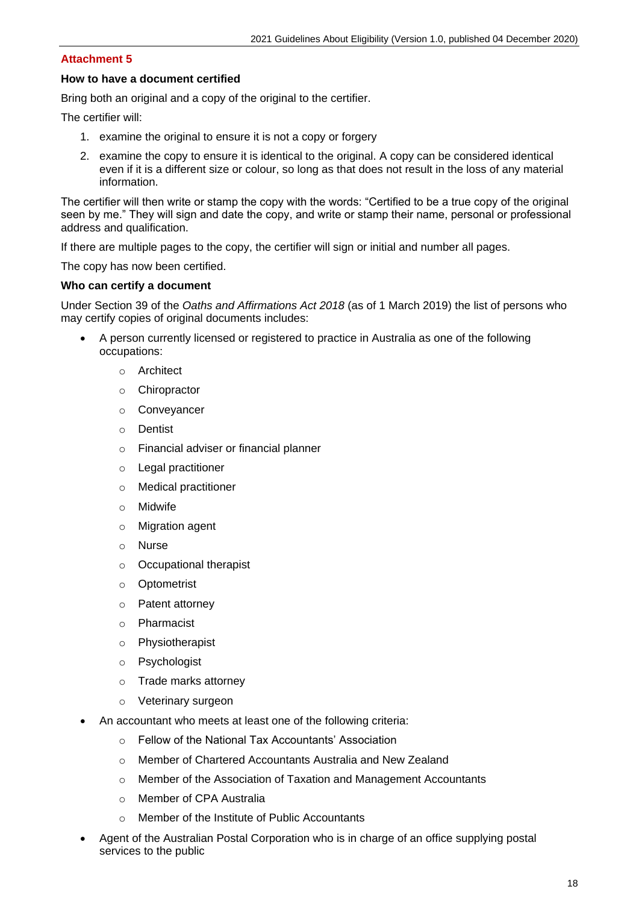#### **How to have a document certified**

Bring both an original and a copy of the original to the certifier.

The certifier will:

- 1. examine the original to ensure it is not a copy or forgery
- 2. examine the copy to ensure it is identical to the original. A copy can be considered identical even if it is a different size or colour, so long as that does not result in the loss of any material information.

The certifier will then write or stamp the copy with the words: "Certified to be a true copy of the original seen by me." They will sign and date the copy, and write or stamp their name, personal or professional address and qualification.

If there are multiple pages to the copy, the certifier will sign or initial and number all pages.

The copy has now been certified.

#### **Who can certify a document**

Under Section 39 of the *Oaths and Affirmations Act 2018* (as of 1 March 2019) the list of persons who may certify copies of original documents includes:

- A person currently licensed or registered to practice in Australia as one of the following occupations:
	- o Architect
	- o Chiropractor
	- o Conveyancer
	- o Dentist
	- o Financial adviser or financial planner
	- o Legal practitioner
	- o Medical practitioner
	- o Midwife
	- o Migration agent
	- o Nurse
	- o Occupational therapist
	- o Optometrist
	- o Patent attorney
	- o Pharmacist
	- o Physiotherapist
	- o Psychologist
	- o Trade marks attorney
	- o Veterinary surgeon
- An accountant who meets at least one of the following criteria:
	- o Fellow of the National Tax Accountants' Association
	- o Member of Chartered Accountants Australia and New Zealand
	- o Member of the Association of Taxation and Management Accountants
	- o Member of CPA Australia
	- Member of the Institute of Public Accountants
- Agent of the Australian Postal Corporation who is in charge of an office supplying postal services to the public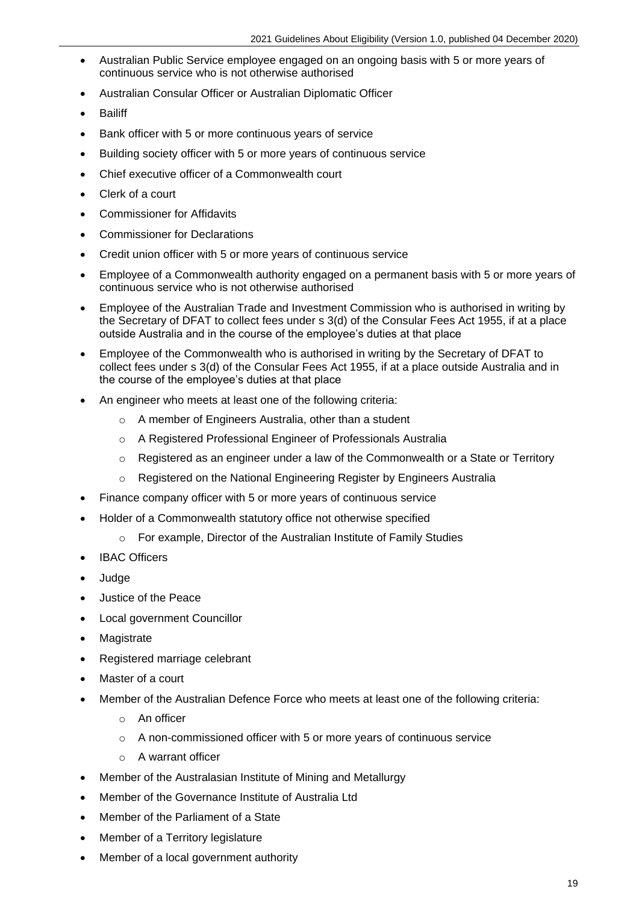- Australian Public Service employee engaged on an ongoing basis with 5 or more years of continuous service who is not otherwise authorised
- Australian Consular Officer or Australian Diplomatic Officer
- Bailiff
- Bank officer with 5 or more continuous years of service
- Building society officer with 5 or more years of continuous service
- Chief executive officer of a Commonwealth court
- Clerk of a court
- Commissioner for Affidavits
- Commissioner for Declarations
- Credit union officer with 5 or more years of continuous service
- Employee of a Commonwealth authority engaged on a permanent basis with 5 or more years of continuous service who is not otherwise authorised
- Employee of the Australian Trade and Investment Commission who is authorised in writing by the Secretary of DFAT to collect fees under s 3(d) of the Consular Fees Act 1955, if at a place outside Australia and in the course of the employee's duties at that place
- Employee of the Commonwealth who is authorised in writing by the Secretary of DFAT to collect fees under s 3(d) of the Consular Fees Act 1955, if at a place outside Australia and in the course of the employee's duties at that place
- An engineer who meets at least one of the following criteria:
	- o A member of Engineers Australia, other than a student
	- o A Registered Professional Engineer of Professionals Australia
	- $\circ$  Registered as an engineer under a law of the Commonwealth or a State or Territory
	- o Registered on the National Engineering Register by Engineers Australia
- Finance company officer with 5 or more years of continuous service
- Holder of a Commonwealth statutory office not otherwise specified
	- o For example, Director of the Australian Institute of Family Studies
- **IBAC Officers**
- Judge
- Justice of the Peace
- Local government Councillor
- **Magistrate**
- Registered marriage celebrant
- Master of a court
- Member of the Australian Defence Force who meets at least one of the following criteria:
	- o An officer
	- o A non-commissioned officer with 5 or more years of continuous service
	- o A warrant officer
- Member of the Australasian Institute of Mining and Metallurgy
- Member of the Governance Institute of Australia Ltd
- Member of the Parliament of a State
- Member of a Territory legislature
- Member of a local government authority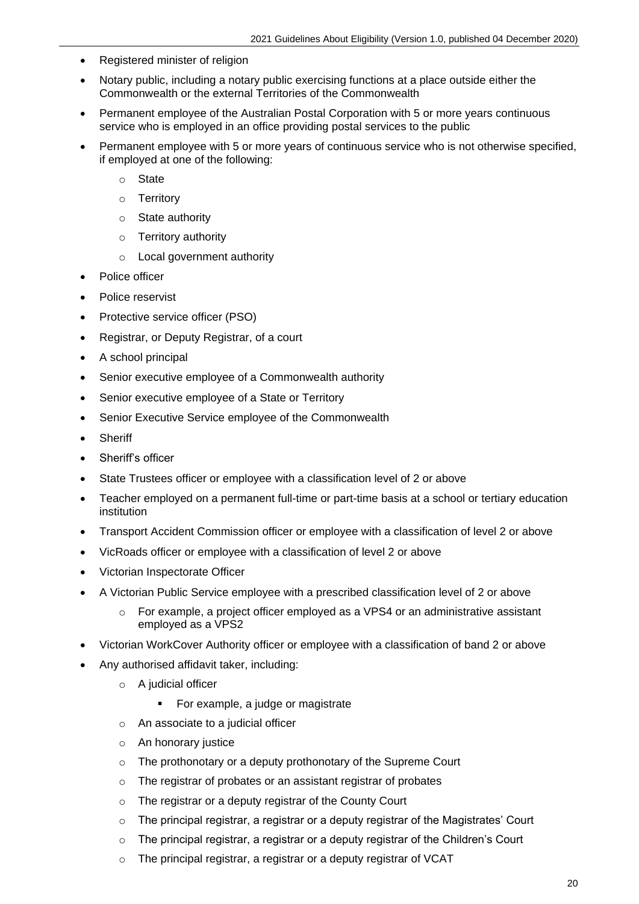- Registered minister of religion
- Notary public, including a notary public exercising functions at a place outside either the Commonwealth or the external Territories of the Commonwealth
- Permanent employee of the Australian Postal Corporation with 5 or more years continuous service who is employed in an office providing postal services to the public
- Permanent employee with 5 or more years of continuous service who is not otherwise specified, if employed at one of the following:
	- o State
	- o Territory
	- o State authority
	- o Territory authority
	- o Local government authority
- Police officer
- Police reservist
- Protective service officer (PSO)
- Registrar, or Deputy Registrar, of a court
- A school principal
- Senior executive employee of a Commonwealth authority
- Senior executive employee of a State or Territory
- Senior Executive Service employee of the Commonwealth
- Sheriff
- Sheriff's officer
- State Trustees officer or employee with a classification level of 2 or above
- Teacher employed on a permanent full-time or part-time basis at a school or tertiary education institution
- Transport Accident Commission officer or employee with a classification of level 2 or above
- VicRoads officer or employee with a classification of level 2 or above
- Victorian Inspectorate Officer
- A Victorian Public Service employee with a prescribed classification level of 2 or above
	- $\circ$  For example, a project officer employed as a VPS4 or an administrative assistant employed as a VPS2
- Victorian WorkCover Authority officer or employee with a classification of band 2 or above
- Any authorised affidavit taker, including:
	- o A judicial officer
		- For example, a judge or magistrate
	- o An associate to a judicial officer
	- o An honorary justice
	- o The prothonotary or a deputy prothonotary of the Supreme Court
	- o The registrar of probates or an assistant registrar of probates
	- o The registrar or a deputy registrar of the County Court
	- $\circ$  The principal registrar, a registrar or a deputy registrar of the Magistrates' Court
	- $\circ$  The principal registrar, a registrar or a deputy registrar of the Children's Court
	- o The principal registrar, a registrar or a deputy registrar of VCAT